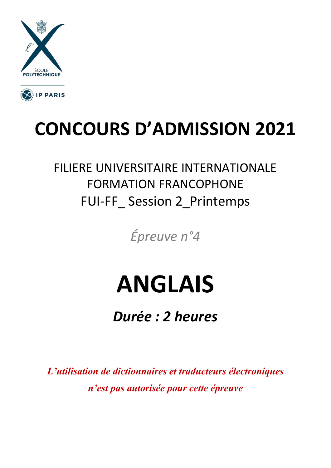



## **CONCOURS D'ADMISSION 2021**

### FILIERE UNIVERSITAIRE INTERNATIONALE FORMATION FRANCOPHONE FUI-FF\_ Session 2\_Printemps

*Épreuve n°4*

# **ANGLAIS**

*Durée : 2 heures*

*L'utilisation de dictionnaires et traducteurs électroniques n'est pas autorisée pour cette épreuve*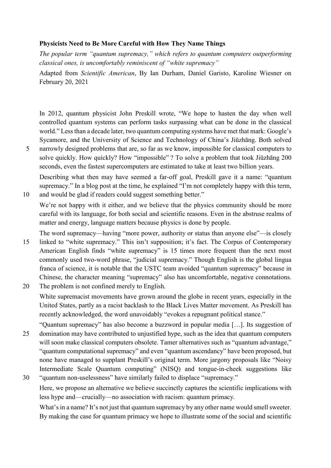#### **Physicists Need to Be More Careful with How They Name Things**

*The popular term "quantum supremacy," which refers to quantum computers outperforming classical ones, is uncomfortably reminiscent of "white supremacy"*

Adapted from *Scientific American*, By Ian Durham, [Daniel Garisto,](https://www.scientificamerican.com/author/daniel-garisto/) [Karoline Wiesner](https://www.scientificamerican.com/author/karoline-wiesner/) on February 20, 2021

In 2012, quantum physicist John Preskill [wrote,](https://arxiv.org/pdf/1203.5813.pdf) "We hope to hasten the day when well controlled quantum systems can perform tasks surpassing what can be done in the classical world." Less than a decade later, two quantum computing systems have met that mark: Google's [Sycamore,](https://www.scientificamerican.com/article/hands-on-with-googles-quantum-computer/) and the University of Science and Technology of China's [Jiǔzhāng](https://www.scientificamerican.com/article/light-based-quantum-computer-exceeds-fastest-classical-supercomputers/). Both solved 5 narrowly designed problems that are, so far as we know, impossible for classical computers to

solve quickly. How quickly? How "impossible" ? To solve a problem that took Jiǔzhāng 200 seconds, even the fastest supercomputers are estimated to take at least two billion years.

Describing what then may have seemed a far-off goal, Preskill gave it a name: "quantum supremacy." In [a blog post](https://quantumfrontiers.com/2012/07/22/supremacy-now/) at the time, he explained "I'm not completely happy with this term, 10 and would be glad if readers could suggest something better."

We're not happy with it either, and we believe that the physics community should be more careful with its language, for both social and scientific reasons. Even in the abstruse realms of matter and energy, language matters because physics is done by people.

The word supremacy—having "more power, authority or status than anyone else"—is closely 15 linked to "white supremacy." This isn't supposition; it's fact. [The Corpus of Contemporary](https://www.english-corpora.org/coca/)  [American English](https://www.english-corpora.org/coca/) finds "white supremacy" is 15 times more frequent than the next most commonly used two-word phrase, "judicial supremacy." Though English is the global lingua franca of science, it is notable that the USTC team avoided "quantum supremacy" because in Chinese, the character meaning "supremacy" also has uncomfortable, negative connotations. 20 The problem is not confined merely to English.

White supremacist movements have grown around the globe in recent years, especially in the United States, partly as a racist backlash to the Black Lives Matter movement. As [Preskill has](https://www.quantamagazine.org/john-preskill-explains-quantum-supremacy-20191002/)  [recently acknowledged,](https://www.quantamagazine.org/john-preskill-explains-quantum-supremacy-20191002/) the word unavoidably "evokes a repugnant political stance."

"Quantum supremacy" has also become a buzzword in popular media […]. Its suggestion of 25 domination may have contributed to unjustified hype, such as the idea that quantum computers will soon make classical computers obsolete. Tamer alternatives such as "quantum advantage," "quantum computational supremacy" and even "quantum ascendancy" have been proposed, but none have managed to supplant Preskill's original term. More jargony proposals like "Noisy Intermediate Scale Quantum computing" (NISQ) and [tongue-in-cheek suggestions](https://twitter.com/dlyongemallo/status/1187667680188338176) like 30 "quantum non-uselessness" have similarly failed to displace "supremacy."

Here, we propose an alternative we believe succinctly captures the scientific implications with less hype and—crucially—no association with racism: quantum primacy.

What's in a name? It's not just that quantum supremacy by any other name would smell sweeter. By making the case for quantum primacy we hope to illustrate some of the social and scientific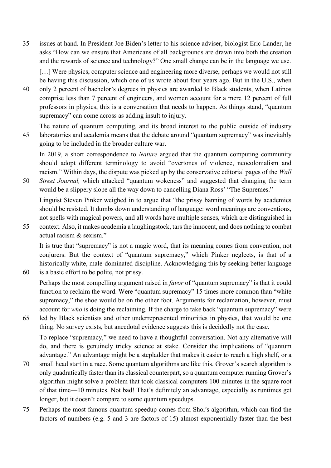35 issues at hand. In President Joe Biden's [letter to his science adviser,](https://science.gmu.edu/news/letter-geneticist-eric-lander-president-elect-biden) biologist Eric Lander, he asks "How can we ensure that Americans of all backgrounds are drawn into both the creation and the rewards of science and technology?" One small change can be in the language we use.

[...] Were physics, computer science and engineering more diverse, perhaps we would not still be having this discussion, which one of us [wrote about four years ago.](https://arxiv.org/abs/1705.06768) But in the U.S., when

- 40 only [2 percent of bachelor's degrees](https://www.aip.org/statistics/reports/african-american-participation-among-bachelors-physical-sciences) in physics are awarded to Black students, when Latinos comprise [less than 7 percent of engineers,](https://www.aip.org/statistics/resources/data-underrepresented-groups-physical-sciences-and-engineering) and women account for a mere [12 percent of full](https://www.aip.org/statistics/reports/women-among-physics-and-astronomy-faculty)  [professors](https://www.aip.org/statistics/reports/women-among-physics-and-astronomy-faculty) in physics, this is a conversation that needs to happen. As things stand, "quantum supremacy" can come across as adding insult to injury.
- The nature of quantum computing, and its broad interest to the public outside of industry 45 laboratories and academia means that the debate around "quantum supremacy" was inevitably going to be included in the broader culture war.

In 2019, [a short correspondence to](https://www.nature.com/articles/d41586-019-03781-0) *[Nature](https://www.nature.com/articles/d41586-019-03781-0)* argued that the quantum computing community should adopt different terminology to avoid "overtones of violence, neocolonialism and racism." Within days, the dispute was picked up by the conservative editorial pages of the *Wall* 

50 *Street Journal,* which attacked ["quantum wokeness"](https://www.wsj.com/articles/achieving-quantum-wokeness-11576540808) and suggested that changing the term would be a slippery slope all the way down to cancelling Diana Ross' "The Supremes."

Linguist [Steven Pinker weighed in](https://twitter.com/sapinker/status/1206662968227909635) to argue that "the prissy banning of words by academics should be resisted. It dumbs down understanding of language: word meanings are conventions, not spells with magical powers, and all words have multiple senses, which are distinguished in

55 context. Also, it makes academia a laughingstock, tars the innocent, and does nothing to combat actual racism & sexism."

It is true that "supremacy" is not a magic word, that its meaning comes from convention, not conjurers. But the context of "quantum supremacy," which Pinker neglects, is that of a historically white, male-dominated discipline. Acknowledging this by seeking better language

60 is a basic effort to be polite, not prissy.

Perhaps the most compelling argument raised in *favor* of "quantum supremacy" is that it could function to reclaim the word. Were "quantum supremacy" 15 times more common than "white supremacy," the shoe would be on the other foot. Arguments for reclamation, however, must account for *who* is doing the reclaiming. If the charge to take back "quantum supremacy" were

65 led by Black scientists and other underrepresented minorities in physics, that would be one thing. No survey exists, but anecdotal evidence suggests this is decidedly not the case.

To replace "supremacy," we need to have a thoughtful conversation. Not any alternative will do, and there is genuinely tricky science at stake. Consider the implications of "quantum advantage." An advantage might be a stepladder that makes it easier to reach a high shelf, or a

- 70 small head start in a race. Some quantum algorithms are like this. Grover's search algorithm is only quadratically faster than its classical counterpart, so a quantum computer running Grover's algorithm might solve a problem that took classical computers 100 minutes in the square root of that time—10 minutes. Not bad! That's definitely an advantage, especially as runtimes get longer, but it doesn't compare to some quantum speedups.
- 75 Perhaps the most famous quantum speedup comes from Shor's algorithm, which can find the factors of numbers (e.g. 5 and 3 are factors of 15) almost exponentially faster than the best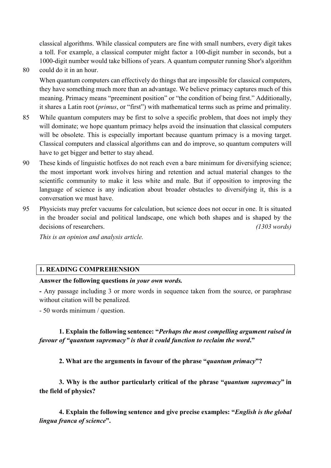classical algorithms. While classical computers are fine with small numbers, every digit takes a toll. For example, a classical computer might factor a 100-digit number in seconds, but a 1000-digit number would take billions of years. A quantum computer running Shor's algorithm

80 could do it in an hour.

When quantum computers can effectively do things that are impossible for classical computers, they have something much more than an advantage. We believe primacy captures much of this meaning. Primacy means "preeminent position" or "the condition of being first." Additionally, it shares a Latin root (*primus*, or "first") with mathematical terms such as prime and primality.

- 85 While quantum computers may be first to solve a specific problem, that does not imply they will dominate; we hope quantum primacy helps avoid the insinuation that classical computers will be obsolete. This is especially important because quantum primacy is a moving target. Classical computers and [classical algorithms can and do improve,](https://www.quantamagazine.org/teenager-finds-classical-alternative-to-quantum-recommendation-algorithm-20180731/) so quantum computers will have to get bigger and better to stay ahead.
- 90 These kinds of linguistic hotfixes do not reach even a bare minimum for diversifying science; the most important work involves hiring and retention and actual material changes to the scientific community to make it less white and male. But if opposition to improving the language of science is any indication about broader obstacles to diversifying it, this is a conversation we must have.
- 95 Physicists may prefer vacuums for calculation, but science does not occur in one. It is situated in the broader social and political landscape, one which both shapes and is shaped by the decisions of researchers. *(1303 words)*

*This is an opinion and analysis article.*

#### **1. READING COMPREHENSION**

#### **Answer the following questions** *in your own words.*

**-** Any passage including 3 or more words in sequence taken from the source, or paraphrase without citation will be penalized.

- 50 words minimum / question.

**1. Explain the following sentence: "***Perhaps the most compelling argument raised in favour of "quantum supremacy" is that it could function to reclaim the word***."**

**2. What are the arguments in favour of the phrase "***quantum primacy***"?**

**3. Why is the author particularly critical of the phrase "***quantum supremacy***" in the field of physics?**

**4. Explain the following sentence and give precise examples: "***English is the global lingua franca of science***".**